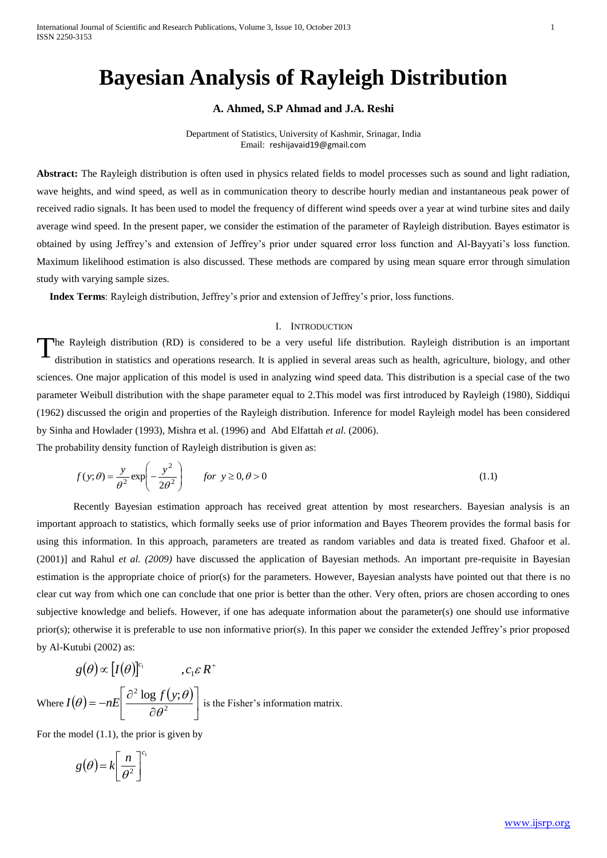# **Bayesian Analysis of Rayleigh Distribution**

# **A. Ahmed, S.P Ahmad and J.A. Reshi**

Department of Statistics, University of Kashmir, Srinagar, India Email: [reshijavaid19@gmail.com](mailto:reshijavaid19@gmail.com)

**Abstract:** The Rayleigh distribution is often used in physics related fields to model processes such as sound and light radiation, wave heights, and wind speed, as well as in communication theory to describe hourly median and instantaneous peak power of received radio signals. It has been used to model the frequency of different wind speeds over a year at wind turbine sites and daily average wind speed. In the present paper, we consider the estimation of the parameter of Rayleigh distribution. Bayes estimator is obtained by using Jeffrey's and extension of Jeffrey's prior under squared error loss function and Al-Bayyati's loss function. Maximum likelihood estimation is also discussed. These methods are compared by using mean square error through simulation study with varying sample sizes.

 **Index Terms**: Rayleigh distribution, Jeffrey's prior and extension of Jeffrey's prior, loss functions.

#### I. INTRODUCTION

he Rayleigh distribution (RD) is considered to be a very useful life distribution. Rayleigh distribution is an important distribution in statistics and operations research. It is applied in several areas such as health, agriculture, biology, and other sciences. One major application of this model is used in analyzing wind speed data. This distribution is a special case of the two parameter Weibull distribution with the shape parameter equal to 2.This model was first introduced by Rayleigh (1980), Siddiqui (1962) discussed the origin and properties of the Rayleigh distribution. Inference for model Rayleigh model has been considered by Sinha and Howlader (1993), Mishra et al. (1996) and Abd Elfattah *et al*. (2006). T

The probability density function of Rayleigh distribution is given as:

$$
f(y; \theta) = \frac{y}{\theta^2} \exp\left(-\frac{y^2}{2\theta^2}\right) \qquad \text{for } y \ge 0, \theta > 0 \tag{1.1}
$$

Recently Bayesian estimation approach has received great attention by most researchers. Bayesian analysis is an important approach to statistics, which formally seeks use of prior information and Bayes Theorem provides the formal basis for using this information. In this approach, parameters are treated as random variables and data is treated fixed. Ghafoor et al. (2001)] and Rahul *et al. (2009)* have discussed the application of Bayesian methods. An important pre-requisite in Bayesian estimation is the appropriate choice of prior(s) for the parameters. However, Bayesian analysts have pointed out that there is no clear cut way from which one can conclude that one prior is better than the other. Very often, priors are chosen according to ones subjective knowledge and beliefs. However, if one has adequate information about the parameter(s) one should use informative prior(s); otherwise it is preferable to use non informative prior(s). In this paper we consider the extended Jeffrey's prior proposed by Al-Kutubi (2002) as:

$$
g(\theta) \propto [I(\theta)]^{c_1}, \qquad, c_1 \in R^+
$$
  
Where  $I(\theta) = -nE\left[\frac{\partial^2 \log f(y;\theta)}{\partial \theta^2}\right]$  is the Fisher's information matrix.

For the model (1.1), the prior is given by

$$
g(\theta) = k \left[ \frac{n}{\theta^2} \right]^{c_1}
$$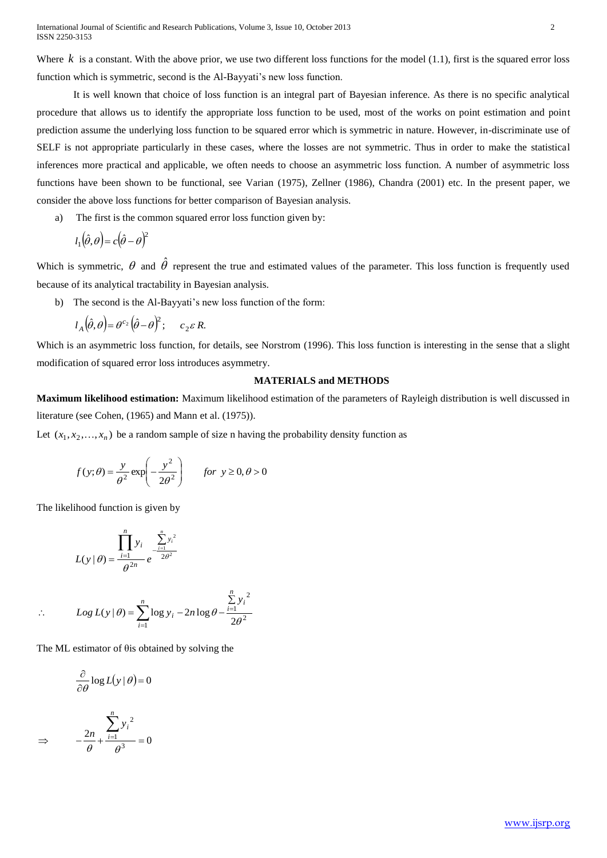International Journal of Scientific and Research Publications, Volume 3, Issue 10, October 2013 2 ISSN 2250-3153

Where  $k$  is a constant. With the above prior, we use two different loss functions for the model  $(1.1)$ , first is the squared error loss function which is symmetric, second is the Al-Bayyati's new loss function.

It is well known that choice of loss function is an integral part of Bayesian inference. As there is no specific analytical procedure that allows us to identify the appropriate loss function to be used, most of the works on point estimation and point prediction assume the underlying loss function to be squared error which is symmetric in nature. However, in-discriminate use of SELF is not appropriate particularly in these cases, where the losses are not symmetric. Thus in order to make the statistical inferences more practical and applicable, we often needs to choose an asymmetric loss function. A number of asymmetric loss functions have been shown to be functional, see Varian (1975), Zellner (1986), Chandra (2001) etc. In the present paper, we consider the above loss functions for better comparison of Bayesian analysis.

a) The first is the common squared error loss function given by:

$$
l_1(\hat{\theta}, \theta) = c(\hat{\theta} - \theta)^2
$$

Which is symmetric,  $\theta$  and  $\hat{\theta}$  represent the true and estimated values of the parameter. This loss function is frequently used because of its analytical tractability in Bayesian analysis.

b) The second is the Al-Bayyati's new loss function of the form:

$$
l_A(\hat{\theta}, \theta) = \theta^{c_2}(\hat{\theta} - \theta)^2; \qquad c_2 \varepsilon R.
$$

Which is an asymmetric loss function, for details, see Norstrom (1996). This loss function is interesting in the sense that a slight modification of squared error loss introduces asymmetry.

## **MATERIALS and METHODS**

**Maximum likelihood estimation:** Maximum likelihood estimation of the parameters of Rayleigh distribution is well discussed in literature (see Cohen, (1965) and Mann et al. (1975)).

Let  $(x_1, x_2,...,x_n)$  be a random sample of size n having the probability density function as

$$
f(y; \theta) = \frac{y}{\theta^2} \exp\left(-\frac{y^2}{2\theta^2}\right) \qquad \text{for } y \ge 0, \theta > 0
$$

The likelihood function is given by

$$
L(y | \theta) = \frac{\prod_{i=1}^{n} y_i}{\theta^{2n}} e^{-\frac{\sum_{i=1}^{n} y_i^2}{2\theta^2}}
$$

$$
\therefore \qquad Log L(y | \theta) = \sum_{i=1}^{n} \log y_i - 2n \log \theta - \frac{\sum_{i=1}^{n} y_i^2}{2\theta^2}
$$

The ML estimator of θis obtained by solving the

$$
\frac{\partial}{\partial \theta} \log L(y | \theta) = 0
$$

$$
\Rightarrow \qquad -\frac{2n}{\theta} + \frac{\sum_{i=1}^{n} y_i^2}{\theta^3} = 0
$$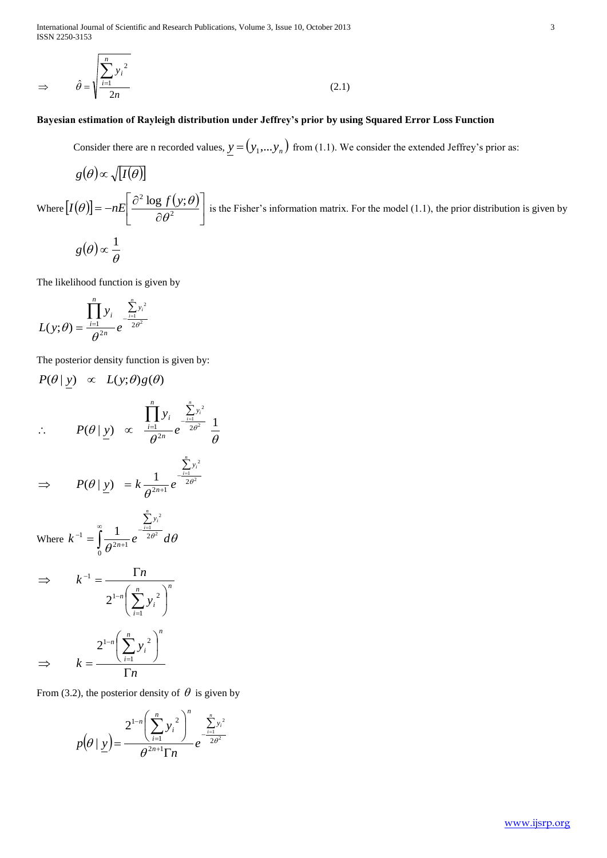International Journal of Scientific and Research Publications, Volume 3, Issue 10, October 2013 3 ISSN 2250-3153

$$
\Rightarrow \qquad \hat{\theta} = \sqrt{\frac{\sum_{i=1}^{n} y_i^2}{2n}} \tag{2.1}
$$

*n*

# **Bayesian estimation of Rayleigh distribution under Jeffrey's prior by using Squared Error Loss Function**

Consider there are n recorded values,  $y = (y_1,...y_n)$  from (1.1). We consider the extended Jeffrey's prior as:

$$
g(\theta) \propto \sqrt{I(\theta)}
$$

Where  $[I(\theta)]=-nE\frac{\partial^2 \log f(y;\theta)}{\cos^2 \theta}$  $\overline{\phantom{a}}$  $\overline{\phantom{a}}$  $\overline{\phantom{a}}$  $\mathsf{L}$ L  $\mathsf{L}$  $\partial$  $=-nE\left|\frac{\partial^2 \log f}{\partial x^2}\right|$ <sup>2</sup> log  $f(y;$  $\theta$  $f(\theta)$  =  $-nE\left[\frac{\partial^2 \log f(y;\theta)}{\cos^2 y}\right]$  is the Fisher's information matrix. For the model (1.1), the prior distribution is given by  $(\theta) \propto \frac{1}{\theta}$  $g(\theta) \propto \frac{1}{2}$ 

The likelihood function is given by

$$
L(y; \theta) = \frac{\prod_{i=1}^{n} y_i}{\theta^{2n}} e^{\frac{\sum_{i=1}^{n} y_i^2}{2\theta^2}}
$$

The posterior density function is given by:

$$
P(\theta | \underline{y}) \propto L(y; \theta)g(\theta)
$$

$$
\therefore P(\theta | \underline{y}) \propto \frac{\prod_{i=1}^{n} y_i}{\theta^{2n}} e^{\frac{\sum_{i=1}^{y_i^2}}{2\theta^2}} \frac{1}{\theta}
$$

$$
\Rightarrow P(\theta \mid \underline{y}) = k \frac{1}{\theta^{2n+1}} e^{-\frac{\sum_{i=1}^{n} y_i^2}{2\theta^2}}
$$

Where 
$$
k^{-1} = \int_{0}^{\infty} \frac{1}{\theta^{2n+1}} e^{-\frac{\sum_{i=1}^{n} y_i^2}{2\theta^2}} d\theta
$$

$$
\Rightarrow k^{-1} = \frac{\Gamma n}{2^{1-n} \left(\sum_{i=1}^{n} y_i^2\right)^n}
$$

$$
\Rightarrow k = \frac{2^{1-n} \left(\sum_{i=1}^{n} y_i^2\right)^n}{\Gamma n}
$$

From (3.2), the posterior density of  $\theta$  is given by

$$
p(\theta \mid \underline{y}) = \frac{2^{1-n} \left(\sum_{i=1}^{n} y_i^2\right)^n}{\theta^{2n+1} \Gamma n} e^{-\frac{\sum_{i=1}^{n} y_i^2}{2\theta^2}}
$$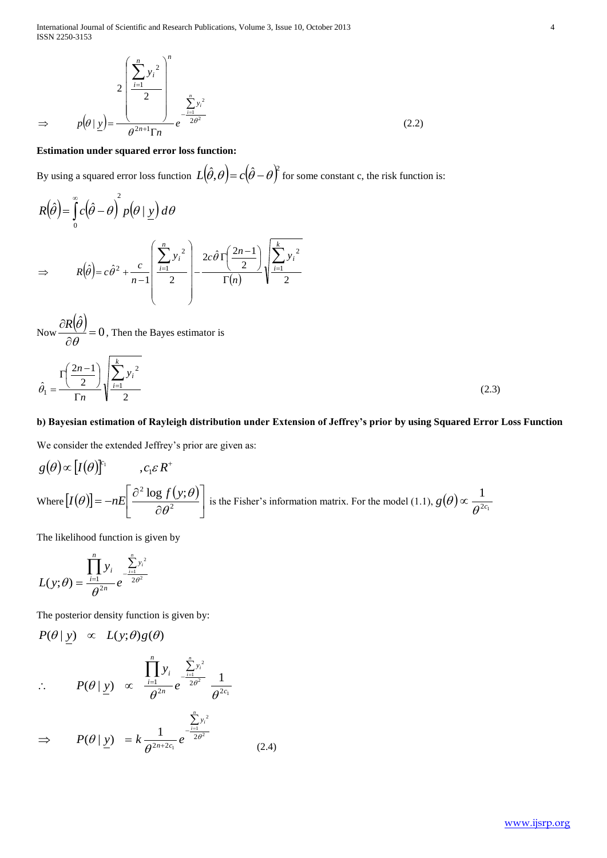International Journal of Scientific and Research Publications, Volume 3, Issue 10, October 2013 4 ISSN 2250-3153

$$
\Rightarrow p(\theta \mid \underline{y}) = \frac{\left(\sum_{i=1}^{n} y_i^2\right)^n}{\theta^{2n+1} \Gamma n} e^{-\frac{\sum_{i=1}^{n} y_i^2}{2\theta^2}}
$$
(2.2)

## **Estimation under squared error loss function:**

By using a squared error loss function  $L(\hat{\theta}, \theta) = c(\hat{\theta} - \theta)^2$  for some constant c, the risk function is:

$$
R(\hat{\theta}) = \int_{0}^{\infty} c(\hat{\theta} - \theta)^2 p(\theta | \underline{y}) d\theta
$$
  
\n
$$
\Rightarrow R(\hat{\theta}) = c\hat{\theta}^2 + \frac{c}{n-1} \left( \frac{\sum_{i=1}^{n} y_i^2}{2} \right) - \frac{2c\hat{\theta} \Gamma(\frac{2n-1}{2})}{\Gamma(n)} \sqrt{\frac{\sum_{i=1}^{k} y_i^2}{2}}
$$

Now 
$$
\frac{\partial R(\hat{\theta})}{\partial \theta} = 0
$$
, Then the Bayes estimator is  

$$
\hat{\theta}_1 = \frac{\Gamma\left(\frac{2n-1}{2}\right)}{\Gamma n} \sqrt{\frac{\sum_{i=1}^{k} y_i^2}{2}}
$$
(2.3)

# **b) Bayesian estimation of Rayleigh distribution under Extension of Jeffrey's prior by using Squared Error Loss Function**

We consider the extended Jeffrey's prior are given as:

$$
g(\theta) \propto [I(\theta)]^{c_1}
$$
,  $c_1 \varepsilon R^+$   
Where  $[I(\theta)] = -nE\left[\frac{\partial^2 \log f(y;\theta)}{\partial \theta^2}\right]$  is the Fisher's information matrix. For the model (1.1),  $g(\theta) \propto \frac{1}{\theta^{2c_1}}$ 

The likelihood function is given by

$$
L(y; \theta) = \frac{\prod_{i=1}^{n} y_i}{\theta^{2n}} e^{-\frac{\sum_{i=1}^{n} y_i^2}{2\theta^2}}
$$

*n*

The posterior density function is given by:

$$
P(\theta | y) \propto L(y; \theta)g(\theta)
$$
  
\n
$$
\therefore P(\theta | y) \propto \frac{\prod_{i=1}^{n} y_{i}}{\theta^{2n}} e^{\frac{\sum_{i=1}^{n} y_{i}^{2}}{2\theta^{2}}} \frac{1}{\theta^{2c_{1}}}
$$

$$
\Rightarrow \qquad P(\theta \mid \underline{y}) = k \frac{1}{\theta^{2n+2c_1}} e^{-\frac{\sum_{i=1}^{n} y_i^2}{2\theta^2}}
$$
(2.4)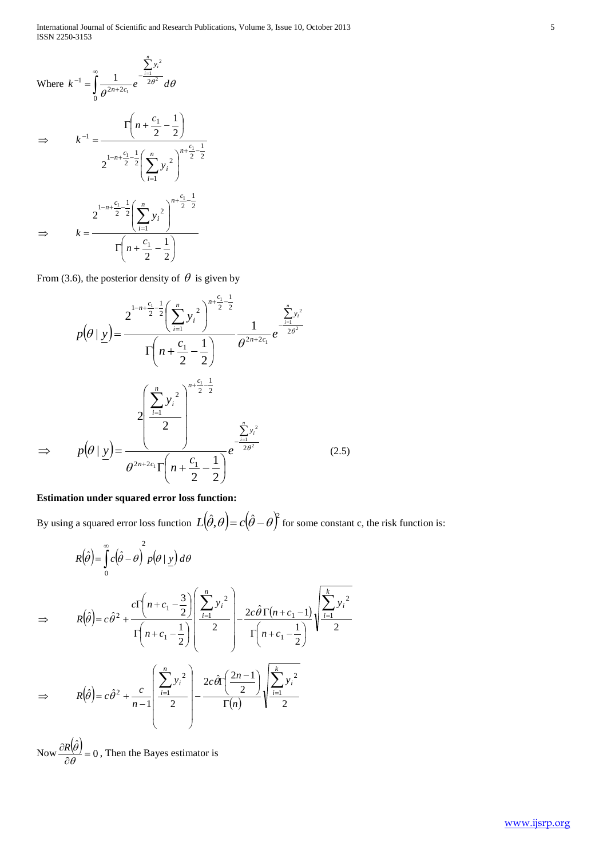Where 
$$
k^{-1} = \int_{0}^{\infty} \frac{1}{\theta^{2n+2c_1}} e^{-\frac{\sum_{i=1}^{n} y_i^2}{2\theta^2}} d\theta
$$

\n
$$
\Rightarrow \qquad k^{-1} = \frac{\Gamma\left(n + \frac{c_1}{2} - \frac{1}{2}\right)}{2^{\left(1 - n + \frac{c_1}{2} - \frac{1}{2}\right)} \left(\sum_{i=1}^{n} y_i^2\right)^{n + \frac{c_1 - 1}{2}}}
$$
\n
$$
\Rightarrow \qquad k = \frac{2^{\left(1 - n + \frac{c_1}{2} - \frac{1}{2}\right)} \left(\sum_{i=1}^{n} y_i^2\right)^{n + \frac{c_1 - 1}{2}}}{\Gamma\left(n + \frac{c_1}{2} - \frac{1}{2}\right)}
$$

From (3.6), the posterior density of  $\theta$  is given by

$$
p(\theta | \underline{y}) = \frac{2^{1-n+\frac{c_1}{2}-\frac{1}{2}} \left(\sum_{i=1}^n y_i^2\right)^{n+\frac{c_1}{2}-\frac{1}{2}}}{\Gamma\left(n+\frac{c_1}{2}-\frac{1}{2}\right)} \frac{\frac{1}{2}y_i^2}{\theta^{2n+2c_1} e^{-\frac{j}{2\theta^2}}}
$$

$$
p(\theta | \underline{y}) = \frac{2^{\left(\sum_{i=1}^n y_i^2\right)^{n+\frac{c_1}{2}-\frac{1}{2}}}}{\theta^{2n+2c_1}\Gamma\left(n+\frac{c_1}{2}-\frac{1}{2}\right)} e^{-\frac{\sum_{i=1}^n y_i^2}{2\theta^2}} (2)
$$

 $(.5)$ 

# **Estimation under squared error loss function:**

 $\Rightarrow$ 

By using a squared error loss function  $L(\hat{\theta}, \theta) = c(\hat{\theta} - \theta)^2$  for some constant c, the risk function is:

$$
R(\hat{\theta}) = \int_{0}^{\infty} c(\hat{\theta} - \theta) \int_{0}^{2} p(\theta | y) d\theta
$$
  
\n
$$
\Rightarrow R(\hat{\theta}) = c\hat{\theta}^{2} + \frac{c\Gamma\left(n + c_{1} - \frac{3}{2}\right)}{\Gamma\left(n + c_{1} - \frac{1}{2}\right)} \left(\frac{\sum_{i=1}^{n} y_{i}^{2}}{2}\right) - \frac{2c\hat{\theta}\Gamma(n + c_{1} - 1)}{\Gamma\left(n + c_{1} - \frac{1}{2}\right)} \sqrt{\frac{\sum_{i=1}^{k} y_{i}^{2}}{2}}
$$
  
\n
$$
\Rightarrow R(\hat{\theta}) = c\hat{\theta}^{2} + \frac{c}{n - 1} \left(\frac{\sum_{i=1}^{n} y_{i}^{2}}{2}\right) - \frac{2c\hat{\theta}\Gamma\left(\frac{2n - 1}{2}\right)}{\Gamma(n)} \sqrt{\frac{\sum_{i=1}^{k} y_{i}^{2}}{2}}
$$

Now  $\frac{\partial R(\hat{\theta})}{\partial \hat{\theta}} = 0$ ˆ  $\frac{\partial \psi}{\partial \theta} =$  $\partial$  $\theta$  $\frac{R(\hat{\theta})}{\hat{\theta}} = 0$ , Then the Bayes estimator is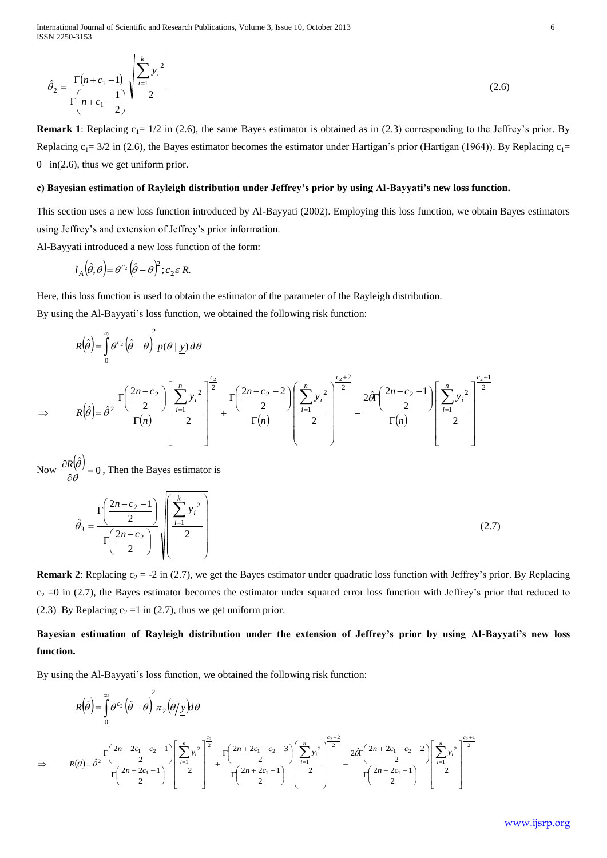International Journal of Scientific and Research Publications, Volume 3, Issue 10, October 2013 6 ISSN 2250-3153

$$
\hat{\theta}_2 = \frac{\Gamma(n+c_1-1)}{\Gamma(n+c_1-\frac{1}{2})} \sqrt{\frac{\sum_{i=1}^{k} y_i^2}{2}}
$$
\n(2.6)

**Remark 1**: Replacing  $c_1 = 1/2$  in (2.6), the same Bayes estimator is obtained as in (2.3) corresponding to the Jeffrey's prior. By Replacing  $c_1 = 3/2$  in (2.6), the Bayes estimator becomes the estimator under Hartigan's prior (Hartigan (1964)). By Replacing  $c_1 =$ 0 in(2.6), thus we get uniform prior.

### **c) Bayesian estimation of Rayleigh distribution under Jeffrey's prior by using Al-Bayyati's new loss function.**

This section uses a new loss function introduced by Al-Bayyati (2002). Employing this loss function, we obtain Bayes estimators using Jeffrey's and extension of Jeffrey's prior information.

Al-Bayyati introduced a new loss function of the form:

$$
l_A(\hat{\theta},\theta) = \theta^{c_2}(\hat{\theta} - \theta)^2; c_2 \varepsilon R.
$$

Here, this loss function is used to obtain the estimator of the parameter of the Rayleigh distribution. By using the Al-Bayyati's loss function, we obtained the following risk function:

$$
\hat{\theta}_2 = \frac{\Gamma(n+c_1-1)}{\Gamma(n+c_1-\frac{1}{2})}\sqrt{\frac{54}{2}}
$$
\n(2.6)  
\n**mark** 1: Replacing  $c_1 = 12$  in (2.6), the same Bayes estimator is obtained as in (2.3) corresponding to the leftfrey's prior. By  
\nphasing  $c_1 = 32$  in (2.6), the same Bayes estimator becomes the estimator under Ietrigan's prior (Harrigan (1964)). By Replacing  $c_1 = 32$   
\nBayesian estimator of Rayleigh distribution under Jeffrey's prior by using Al-Bayyati's new loss function.  
\nBayesian function of Rayleigh distribution under Jeffrey's prior by using Al-Bayyati's new loss function.  
\nBayasi introduced a new loss function of the form:  
\n
$$
I_A(\hat{\beta},\hat{\theta}) = \theta^{2z} (\hat{\theta} - \theta)^2; c_2 \times R.
$$
\n
$$
r(t)
$$
\n
$$
R(\hat{\theta}) = \int_0^{\theta} \hat{\theta} \cdot (\hat{\theta} - \theta)^2 \cos(\theta - \theta)^2 \sin(\theta - \theta)^2
$$
\n
$$
R(\hat{\theta}) = \int_0^{\theta} \hat{\theta} \cdot (\hat{\theta} - \theta)^2 \cos(\theta - \theta)^2 \sin(\theta - \theta)^2
$$
\n
$$
R(\hat{\theta}) = \int_0^{\theta} \hat{\theta} \cdot (\hat{\theta} - \theta)^2 \cos(\theta - \theta)^2 \sin(\theta - \theta)^2
$$
\n
$$
R(\hat{\theta}) = \frac{1}{\theta} \int_0^{\theta} \hat{\theta} \cdot (\hat{\theta} - \theta)^2 \cos(\theta - \theta)^2 \sin(\theta - \theta)^2
$$
\n
$$
R(\hat{\theta}) = \frac{1}{\theta} \int_0^{\theta} \hat{\theta} = 0, \text{ Then the Bayes estimator is}
$$
\n
$$
\hat{\theta}_1 = \frac{\Gamma(\frac{2n-c_2-1}{2})}{\Gamma(n)} \begin{pmatrix} \sum_{i=1}^n y_i^2 \\ \sum_{i=1}^n z_i^2 \\ \sum_{i=1}^n z_i^2 \\ \sum_{i=1}^n z_i^2 \end{pmatrix}
$$
\n
$$
R(\hat{\theta}) = \hat{\theta} = 0, \text{ Then the Bayes estimator is}
$$
\n
$$
\hat{\theta}_1 = \frac{\Gamma(\frac{2n-c
$$

Now  $\frac{\partial R(\theta)}{\partial \theta} = 0$ ˆ  $\frac{\partial \psi}{\partial \theta} =$  $\partial$  $\theta$  $\frac{R(\theta)}{R(\theta)} = 0$ , Then the Bayes estimator is

 $\Rightarrow$ 

$$
\hat{\theta}_3 = \frac{\Gamma\left(\frac{2n - c_2 - 1}{2}\right)}{\Gamma\left(\frac{2n - c_2}{2}\right)} \sqrt{\frac{\sum_{i=1}^k y_i^2}{2}}
$$
\n(2.7)

**Remark 2**: Replacing  $c_2 = -2$  in (2.7), we get the Bayes estimator under quadratic loss function with Jeffrey's prior. By Replacing  $c_2 = 0$  in (2.7), the Bayes estimator becomes the estimator under squared error loss function with Jeffrey's prior that reduced to (2.3) By Replacing  $c_2 = 1$  in (2.7), thus we get uniform prior.

# **Bayesian estimation of Rayleigh distribution under the extension of Jeffrey's prior by using Al-Bayyati's new loss function.**

By using the Al-Bayyati's loss function, we obtained the following risk function:

$$
R(\hat{\theta}) = \int_{0}^{\infty} \theta^{c_2} (\hat{\theta} - \theta) \pi_2 (\theta) y d\theta
$$
  
\n
$$
\Rightarrow R(\theta) = \hat{\theta}^2 \frac{\Gamma\left(\frac{2n + 2c_1 - c_2 - 1}{2}\right)}{\Gamma\left(\frac{2n + 2c_1 - c_2 - 1}{2}\right)} \left[\frac{\sum_{i=1}^{n} y_i^2}{2}\right]^{\frac{c_2}{2}} + \frac{\Gamma\left(\frac{2n + 2c_1 - c_2 - 3}{2}\right)}{\Gamma\left(\frac{2n + 2c_1 - 1}{2}\right)} \left[\frac{\sum_{i=1}^{n} y_i^2}{2}\right]^{\frac{c_2 + 2}{2}} - \frac{2\hat{\theta}\Gamma\left(\frac{2n + 2c_1 - c_2 - 2}{2}\right)}{\Gamma\left(\frac{2n + 2c_1 - 1}{2}\right)} \left[\frac{\sum_{i=1}^{n} y_i^2}{2}\right]^{\frac{c_2 + 1}{2}}
$$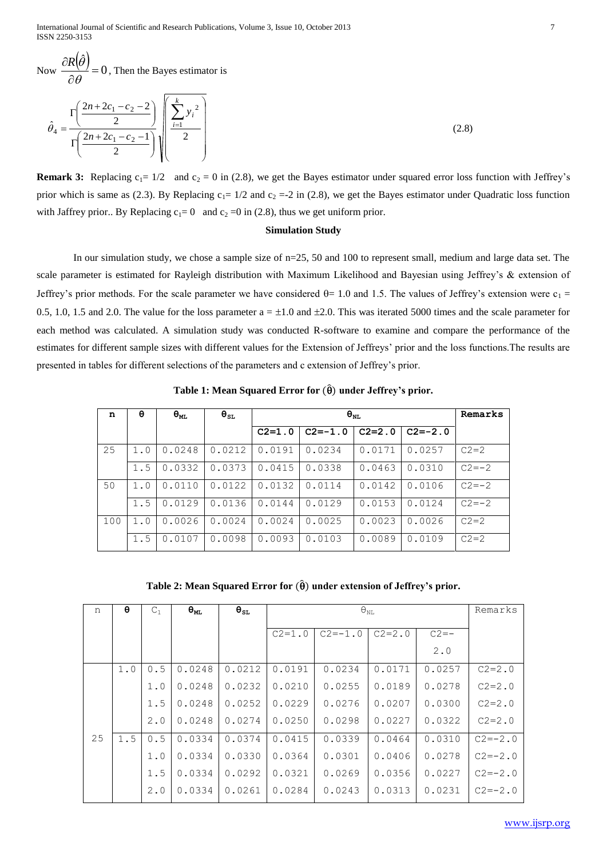International Journal of Scientific and Research Publications, Volume 3, Issue 10, October 2013 7 ISSN 2250-3153

Now  $\frac{\partial R(\hat{\theta})}{\partial \hat{\theta}} = 0$ ˆ  $=$  $\partial$  $\partial$  $\theta$  $\frac{R(\theta)}{R(\theta)} = 0$ , Then the Bayes estimator is

$$
\hat{\theta}_4 = \frac{\Gamma\left(\frac{2n+2c_1-c_2-2}{2}\right)}{\Gamma\left(\frac{2n+2c_1-c_2-1}{2}\right)} \sqrt{\frac{\sum_{i=1}^{k} y_i^2}{2}}
$$
\n(2.8)

**Remark 3:** Replacing  $c_1 = 1/2$  and  $c_2 = 0$  in (2.8), we get the Bayes estimator under squared error loss function with Jeffrey's prior which is same as (2.3). By Replacing  $c_1 = 1/2$  and  $c_2 = -2$  in (2.8), we get the Bayes estimator under Quadratic loss function with Jaffrey prior.. By Replacing  $c_1= 0$  and  $c_2=0$  in (2.8), thus we get uniform prior.

## **Simulation Study**

In our simulation study, we chose a sample size of  $n=25$ , 50 and 100 to represent small, medium and large data set. The scale parameter is estimated for Rayleigh distribution with Maximum Likelihood and Bayesian using Jeffrey's & extension of Jeffrey's prior methods. For the scale parameter we have considered  $\theta$  = 1.0 and 1.5. The values of Jeffrey's extension were c<sub>1</sub> = 0.5, 1.0, 1.5 and 2.0. The value for the loss parameter  $a = \pm 1.0$  and  $\pm 2.0$ . This was iterated 5000 times and the scale parameter for each method was calculated. A simulation study was conducted R-software to examine and compare the performance of the estimates for different sample sizes with different values for the Extension of Jeffreys' prior and the loss functions.The results are presented in tables for different selections of the parameters and c extension of Jeffrey's prior.

| n   | θ   | $\Theta_{ML}$ | $\bm{\theta}_{\texttt{SL}}$ |            | Remarks     |            |             |            |
|-----|-----|---------------|-----------------------------|------------|-------------|------------|-------------|------------|
|     |     |               |                             | $C2 = 1.0$ | $C2 = -1.0$ | $C2 = 2.0$ | $C2 = -2.0$ |            |
| 25  | 1.0 | 0.0248        | 0.0212                      | 0.0191     | 0.0234      | 0.0171     | 0.0257      | $C2 = 2$   |
|     | 1.5 | 0.0332        | 0.0373                      | 0.0415     | 0.0338      | 0.0463     | 0.0310      | $C2 = -2$  |
| 50  | 1.0 | 0.0110        | 0.0122                      | 0.0132     | 0.0114      | 0.0142     | 0.0106      | $C2 = -2$  |
|     | 1.5 | 0.0129        | 0.0136                      | 0.0144     | 0.0129      | 0.0153     | 0.0124      | $C.2 = -2$ |
| 100 | 1.0 | 0.0026        | 0.0024                      | 0.0024     | 0.0025      | 0.0023     | 0.0026      | $C2 = 2$   |
|     | 1.5 | 0.0107        | 0.0098                      | 0.0093     | 0.0103      | 0.0089     | 0.0109      | $C2 = 2$   |

**Table 1: Mean Squared Error for**  $(\hat{\theta})$  **under Jeffrey's prior.** 

**Table 2: Mean Squared Error for**  $(\hat{\theta})$  **under extension of Jeffrey's prior.** 

| n  | θ   | $C_1$ | $\Theta_{ML}$ | $\Theta_{\texttt{SL}}$ |            | Remarks     |            |          |             |
|----|-----|-------|---------------|------------------------|------------|-------------|------------|----------|-------------|
|    |     |       |               |                        | $C2 = 1.0$ | $C2 = -1.0$ | $C2 = 2.0$ | $C2 = -$ |             |
|    |     |       |               |                        |            |             |            | 2.0      |             |
|    | 1.0 | 0.5   | 0.0248        | 0.0212                 | 0.0191     | 0.0234      | 0.0171     | 0.0257   | $C2 = 2.0$  |
|    |     | 1.0   | 0.0248        | 0.0232                 | 0.0210     | 0.0255      | 0.0189     | 0.0278   | $C2 = 2.0$  |
|    |     | 1.5   | 0.0248        | 0.0252                 | 0.0229     | 0.0276      | 0.0207     | 0.0300   | $C2 = 2.0$  |
|    |     | 2.0   | 0.0248        | 0.0274                 | 0.0250     | 0.0298      | 0.0227     | 0.0322   | $C2 = 2.0$  |
| 25 | 1.5 | 0.5   | 0.0334        | 0.0374                 | 0.0415     | 0.0339      | 0.0464     | 0.0310   | $C2 = -2.0$ |
|    |     | 1.0   | 0.0334        | 0.0330                 | 0.0364     | 0.0301      | 0.0406     | 0.0278   | $C2 = -2.0$ |
|    |     | 1.5   | 0.0334        | 0.0292                 | 0.0321     | 0.0269      | 0.0356     | 0.0227   | $C2 = -2.0$ |
|    |     | 2.0   | 0.0334        | 0.0261                 | 0.0284     | 0.0243      | 0.0313     | 0.0231   | $C2 = -2.0$ |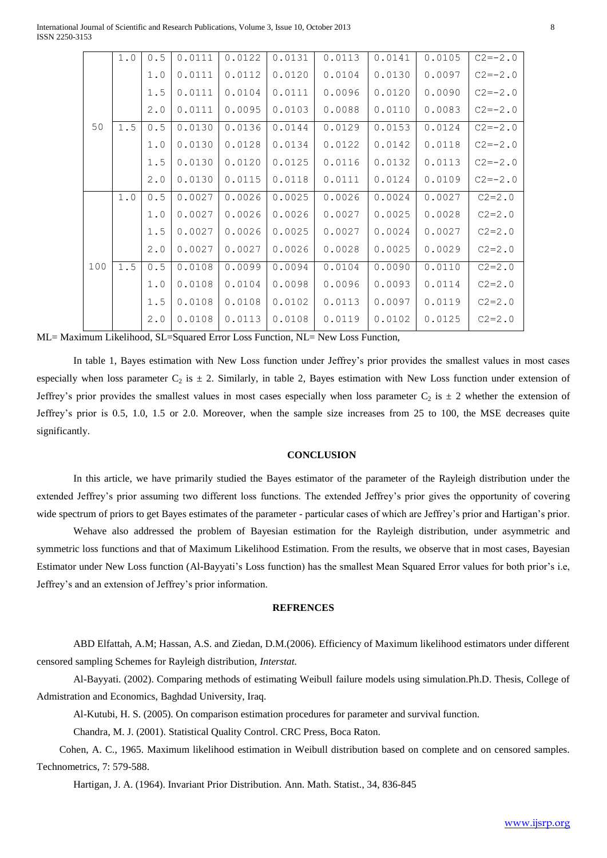|     | $1.0$ | 0.5   | 0.0111 | 0.0122 | 0.0131 | 0.0113 | 0.0141 | 0.0105 | $C2 = -2.0$ |
|-----|-------|-------|--------|--------|--------|--------|--------|--------|-------------|
|     |       | 1.0   | 0.0111 | 0.0112 | 0.0120 | 0.0104 | 0.0130 | 0.0097 | $C2 = -2.0$ |
|     |       | 1.5   | 0.0111 | 0.0104 | 0.0111 | 0.0096 | 0.0120 | 0.0090 | $C2 = -2.0$ |
|     |       | 2.0   | 0.0111 | 0.0095 | 0.0103 | 0.0088 | 0.0110 | 0.0083 | $C2 = -2.0$ |
| 50  | 1.5   | 0.5   | 0.0130 | 0.0136 | 0.0144 | 0.0129 | 0.0153 | 0.0124 | $C2 = -2.0$ |
|     |       | 1.0   | 0.0130 | 0.0128 | 0.0134 | 0.0122 | 0.0142 | 0.0118 | $C2 = -2.0$ |
|     |       | 1.5   | 0.0130 | 0.0120 | 0.0125 | 0.0116 | 0.0132 | 0.0113 | $C2 = -2.0$ |
|     |       | 2.0   | 0.0130 | 0.0115 | 0.0118 | 0.0111 | 0.0124 | 0.0109 | $C2 = -2.0$ |
|     | 1.0   | $0.5$ | 0.0027 | 0.0026 | 0.0025 | 0.0026 | 0.0024 | 0.0027 | $C2 = 2.0$  |
|     |       | 1.0   | 0.0027 | 0.0026 | 0.0026 | 0.0027 | 0.0025 | 0.0028 | $C2 = 2.0$  |
|     |       | $1.5$ | 0.0027 | 0.0026 | 0.0025 | 0.0027 | 0.0024 | 0.0027 | $C2 = 2.0$  |
|     |       | 2.0   | 0.0027 | 0.0027 | 0.0026 | 0.0028 | 0.0025 | 0.0029 | $C2 = 2.0$  |
| 100 | 1.5   | 0.5   | 0.0108 | 0.0099 | 0.0094 | 0.0104 | 0.0090 | 0.0110 | $C2 = 2.0$  |
|     |       | 1.0   | 0.0108 | 0.0104 | 0.0098 | 0.0096 | 0.0093 | 0.0114 | $C2 = 2.0$  |
|     |       | 1.5   | 0.0108 | 0.0108 | 0.0102 | 0.0113 | 0.0097 | 0.0119 | $C2 = 2.0$  |
|     |       | 2.0   | 0.0108 | 0.0113 | 0.0108 | 0.0119 | 0.0102 | 0.0125 | $C2 = 2.0$  |

ML= Maximum Likelihood, SL=Squared Error Loss Function, NL= New Loss Function,

In table 1, Bayes estimation with New Loss function under Jeffrey's prior provides the smallest values in most cases especially when loss parameter  $C_2$  is  $\pm$  2. Similarly, in table 2, Bayes estimation with New Loss function under extension of Jeffrey's prior provides the smallest values in most cases especially when loss parameter  $C_2$  is  $\pm 2$  whether the extension of Jeffrey's prior is 0.5, 1.0, 1.5 or 2.0. Moreover, when the sample size increases from 25 to 100, the MSE decreases quite significantly.

### **CONCLUSION**

In this article, we have primarily studied the Bayes estimator of the parameter of the Rayleigh distribution under the extended Jeffrey's prior assuming two different loss functions. The extended Jeffrey's prior gives the opportunity of covering wide spectrum of priors to get Bayes estimates of the parameter - particular cases of which are Jeffrey's prior and Hartigan's prior.

Wehave also addressed the problem of Bayesian estimation for the Rayleigh distribution, under asymmetric and symmetric loss functions and that of Maximum Likelihood Estimation. From the results, we observe that in most cases, Bayesian Estimator under New Loss function (Al-Bayyati's Loss function) has the smallest Mean Squared Error values for both prior's i.e, Jeffrey's and an extension of Jeffrey's prior information.

## **REFRENCES**

ABD Elfattah, A.M; Hassan, A.S. and Ziedan, D.M.(2006). Efficiency of Maximum likelihood estimators under different censored sampling Schemes for Rayleigh distribution, *Interstat.*

Al-Bayyati. (2002). Comparing methods of estimating Weibull failure models using simulation.Ph.D. Thesis, College of Admistration and Economics, Baghdad University, Iraq.

Al-Kutubi, H. S. (2005). On comparison estimation procedures for parameter and survival function.

Chandra, M. J. (2001). Statistical Quality Control. CRC Press, Boca Raton.

Cohen, A. C., 1965. Maximum likelihood estimation in Weibull distribution based on complete and on censored samples. Technometrics, 7: 579-588.

Hartigan, J. A. (1964). Invariant Prior Distribution. Ann. Math. Statist., 34, 836-845